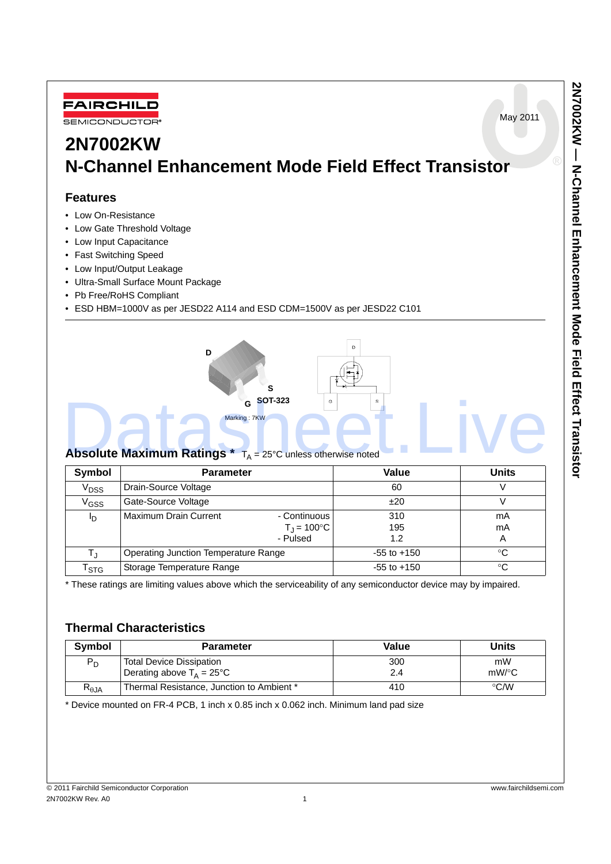May 2011



# **2N7002KW N-Channel Enhancement Mode Field Effect Transistor**

### **Features**

- Low On-Resistance
- Low Gate Threshold Voltage
- Low Input Capacitance
- Fast Switching Speed
- Low Input/Output Leakage
- Ultra-Small Surface Mount Package
- Pb Free/RoHS Compliant
- ESD HBM=1000V as per JESD22 A114 and ESD CDM=1500V as per JESD22 C101



| Symbol                      | <b>Parameter</b>                            |                                             | Value           | <b>Units</b> |
|-----------------------------|---------------------------------------------|---------------------------------------------|-----------------|--------------|
| V <sub>DSS</sub>            | Drain-Source Voltage                        |                                             | 60              |              |
| V <sub>GSS</sub>            | Gate-Source Voltage                         |                                             | ±20             |              |
| םי                          | Maximum Drain Current                       | - Continuous<br>$T_{\rm J} = 100^{\circ}$ C | 310<br>195      | mA<br>mA     |
|                             |                                             | - Pulsed                                    | 1.2             | A            |
| T,                          | <b>Operating Junction Temperature Range</b> |                                             | $-55$ to $+150$ | °€           |
| $\mathsf{r}_{\texttt{STG}}$ | Storage Temperature Range                   |                                             | $-55$ to $+150$ | °C           |

\* These ratings are limiting values above which the serviceability of any semiconductor device may by impaired.

## **Thermal Characteristics**

| <b>Symbol</b>  | <b>Parameter</b>                                                      | Value      | Units          |  |
|----------------|-----------------------------------------------------------------------|------------|----------------|--|
| $P_D$          | <b>Total Device Dissipation</b><br>Derating above $T_A = 25^{\circ}C$ | 300<br>2.4 | mW<br>$mW$ /°C |  |
| $R_{\theta$ JA | Thermal Resistance, Junction to Ambient *                             | 410        | $\degree$ C/W  |  |

\* Device mounted on FR-4 PCB, 1 inch x 0.85 inch x 0.062 inch. Minimum land pad size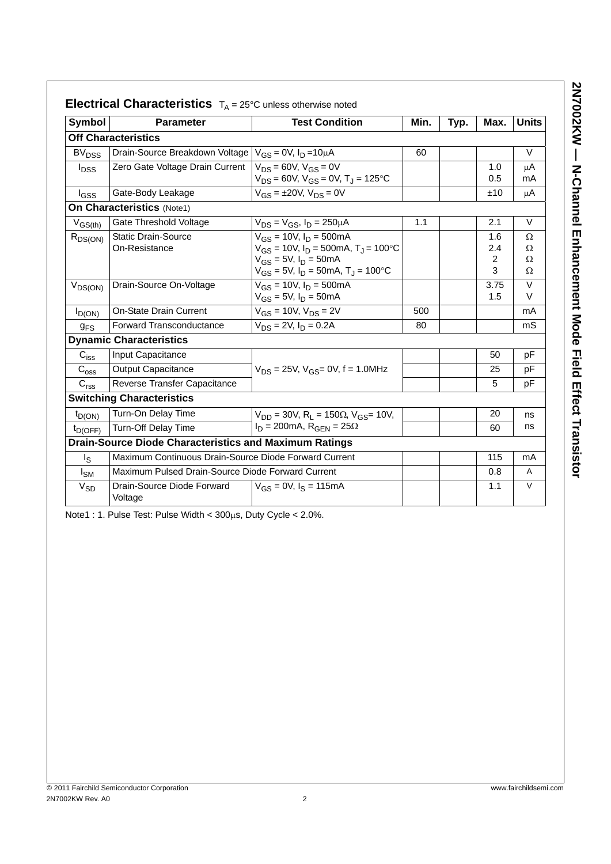| Symbol                      | <b>Parameter</b>                                              | <b>Test Condition</b>                                                                                                                                                | Min. | Typ. | Max.                              | <b>Units</b>            |
|-----------------------------|---------------------------------------------------------------|----------------------------------------------------------------------------------------------------------------------------------------------------------------------|------|------|-----------------------------------|-------------------------|
|                             | <b>Off Characteristics</b>                                    |                                                                                                                                                                      |      |      |                                   |                         |
| <b>BV<sub>DSS</sub></b>     | Drain-Source Breakdown Voltage                                | $V_{GS} = 0V$ , $I_D = 10 \mu A$                                                                                                                                     | 60   |      |                                   | V                       |
| <sup>l</sup> <sub>DSS</sub> | Zero Gate Voltage Drain Current                               | $V_{DS} = 60V$ , $V_{GS} = 0V$<br>$V_{DS}$ = 60V, $V_{GS}$ = 0V, T <sub>J</sub> = 125 °C                                                                             |      |      | 1.0<br>0.5                        | μA<br>mA                |
| $I_{GSS}$                   | Gate-Body Leakage                                             | $V_{GS} = \pm 20V$ , $V_{DS} = 0V$                                                                                                                                   |      |      | ±10                               | μA                      |
|                             | <b>On Characteristics (Note1)</b>                             |                                                                                                                                                                      |      |      |                                   |                         |
| $V_{GS(th)}$                | Gate Threshold Voltage                                        | $V_{DS} = V_{GS}$ , $I_D = 250 \mu A$                                                                                                                                | 1.1  |      | 2.1                               | $\vee$                  |
| $R_{DS(ON)}$                | <b>Static Drain-Source</b><br>On-Resistance                   | $V_{GS}$ = 10V, $I_D$ = 500mA<br>$V_{GS}$ = 10V, $I_D$ = 500mA, $T_J$ = 100°C<br>$V_{GS} = 5V$ , $I_D = 50mA$<br>$V_{GS}$ = 5V, $I_D$ = 50mA, T <sub>J</sub> = 100°C |      |      | 1.6<br>2.4<br>$\overline{2}$<br>3 | Ω<br>Ω<br>$\Omega$<br>Ω |
| $V_{DS(ON)}$                | Drain-Source On-Voltage                                       | $V_{GS}$ = 10V, $I_D$ = 500mA<br>$V_{GS} = 5V$ , $I_D = 50mA$                                                                                                        |      |      | 3.75<br>1.5                       | $\vee$<br>V             |
| $I_{D(ON)}$                 | <b>On-State Drain Current</b>                                 | $V_{GS}$ = 10V, $V_{DS}$ = 2V                                                                                                                                        | 500  |      |                                   | mA                      |
| $g_{FS}$                    | Forward Transconductance                                      | $V_{DS} = 2V$ , $I_D = 0.2A$                                                                                                                                         | 80   |      |                                   | mS                      |
|                             | <b>Dynamic Characteristics</b>                                |                                                                                                                                                                      |      |      |                                   |                         |
| $C_{iss}$                   | Input Capacitance                                             |                                                                                                                                                                      |      |      | 50                                | рF                      |
| $\mathrm{C_{oss}}$          | <b>Output Capacitance</b>                                     | $V_{DS}$ = 25V, $V_{GS}$ = 0V, f = 1.0MHz                                                                                                                            |      |      | 25                                | pF                      |
| C <sub>rss</sub>            | Reverse Transfer Capacitance                                  |                                                                                                                                                                      |      |      | 5                                 | pF                      |
|                             | <b>Switching Characteristics</b>                              |                                                                                                                                                                      |      |      |                                   |                         |
| $t_{D(ON)}$                 | Turn-On Delay Time                                            | $V_{DD}$ = 30V, R <sub>1</sub> = 150 $\Omega$ , V <sub>GS</sub> = 10V,                                                                                               |      |      | 20                                | ns                      |
| $t_{D(OFF)}$                | Turn-Off Delay Time                                           | $I_D = 200 \text{mA}$ , R <sub>GFN</sub> = $25\Omega$                                                                                                                |      |      | 60                                | ns                      |
|                             | <b>Drain-Source Diode Characteristics and Maximum Ratings</b> |                                                                                                                                                                      |      |      |                                   |                         |
| $\lg$                       | Maximum Continuous Drain-Source Diode Forward Current         |                                                                                                                                                                      |      |      | 115                               | mA                      |
| I <sub>SM</sub>             | Maximum Pulsed Drain-Source Diode Forward Current             |                                                                                                                                                                      |      |      | 0.8                               | A                       |
| $V_{SD}$                    | Drain-Source Diode Forward<br>Voltage                         | $V_{GS} = 0V$ , $I_S = 115mA$                                                                                                                                        |      |      | 1.1                               | $\vee$                  |
|                             |                                                               |                                                                                                                                                                      |      |      |                                   |                         |

Note1 : 1. Pulse Test: Pulse Width < 300μs, Duty Cycle < 2.0%.

**2N7002KW — N-Channel Enhancement Mode Field Effect Transistor**

2N7002KW - N-Channel Enhancement Mode Field Effect Transistor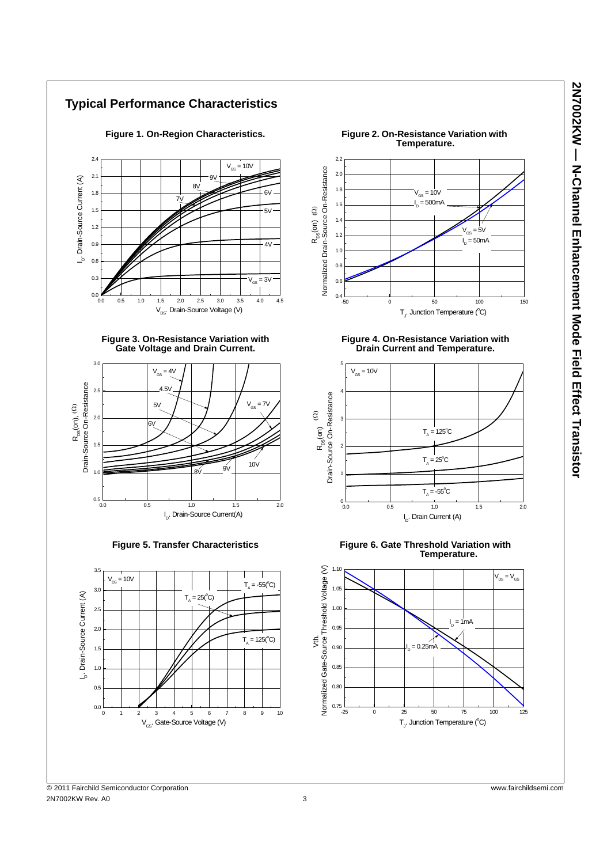

2N7002KW — N-Channel Enhancement Mode Field Effect Transistor **2N7002KW — N-Channel Enhancement Mode Field Effect Transistor**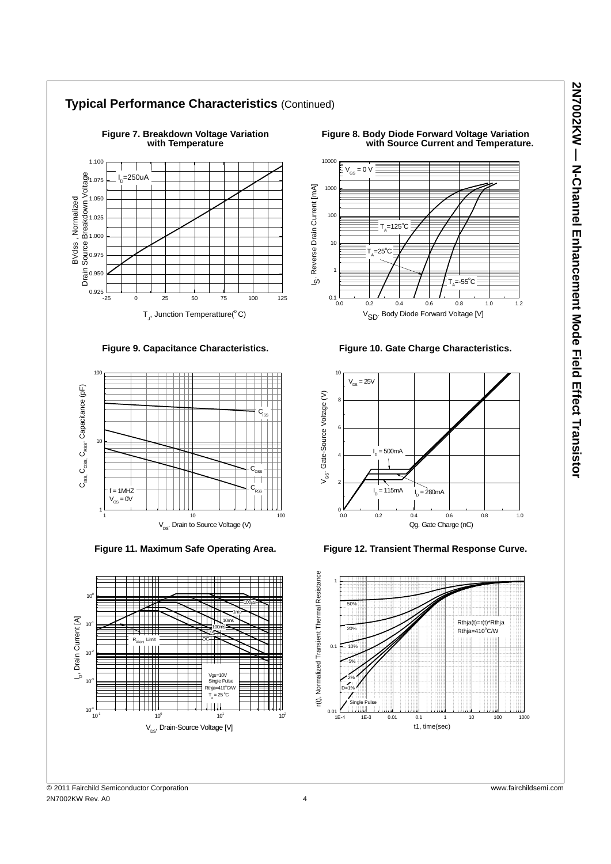

**Figure 9. Capacitance Characteristics.**



**Figure 11. Maximum Safe Operating Area.**



**Figure 8. Body Diode Forward Voltage Variation** *with Source Current and Temperature.* 



**Figure 10. Gate Charge Characteristics.**



**Figure 12. Transient Thermal Response Curve.**



© 2011 Fairchild Semiconductor Corporation www.fairchildsemi.com 2N7002KW Rev. A0 4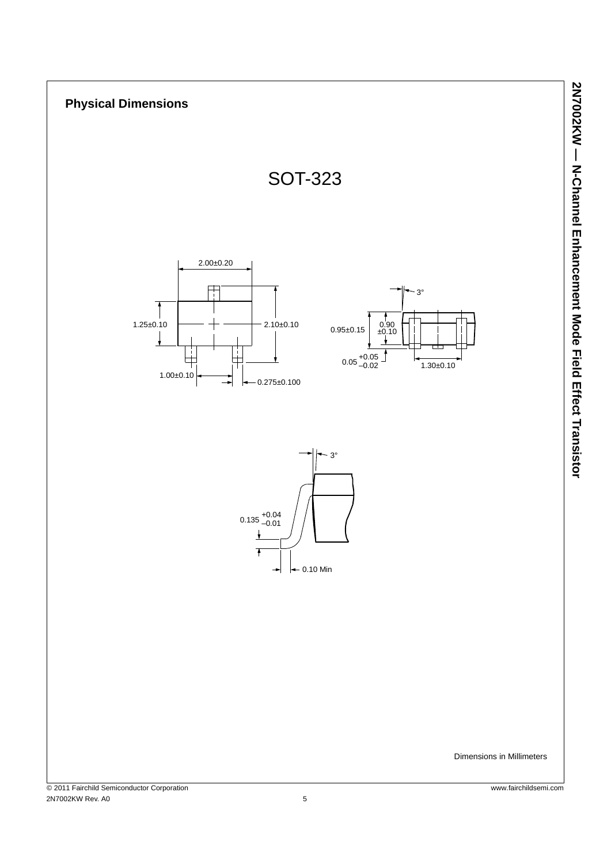

© 2011 Fairchild Semiconductor Corporation www.fairchildsemi.com 2N7002KW Rev. A0 5